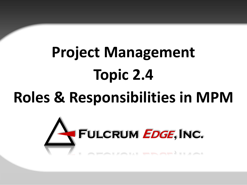# **Project Management Topic 2.4**

## **Roles & Responsibilities in MPM**

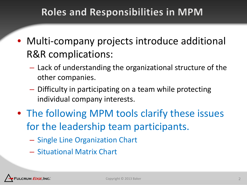### **Roles and Responsibilities in MPM**

- Multi-company projects introduce additional R&R complications:
	- Lack of understanding the organizational structure of the other companies.
	- Difficulty in participating on a team while protecting individual company interests.
- The following MPM tools clarify these issues for the leadership team participants.
	- Single Line Organization Chart
	- Situational Matrix Chart

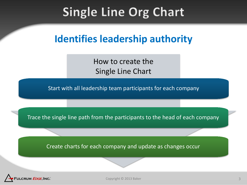## **Single Line Org Chart**

### **Identifies leadership authority**

How to create the Single Line Chart

Start with all leadership team participants for each company

Trace the single line path from the participants to the head of each company

Create charts for each company and update as changes occur

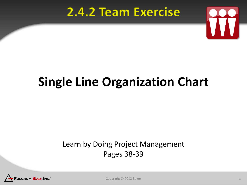### 2.4.2 Team Exercise



## **Single Line Organization Chart**

#### Learn by Doing Project Management Pages 38-39



Copyright © 2013 Baker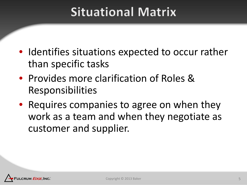## **Situational Matrix**

- Identifies situations expected to occur rather than specific tasks
- Provides more clarification of Roles & Responsibilities
- Requires companies to agree on when they work as a team and when they negotiate as customer and supplier.

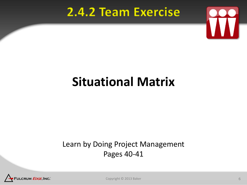## 2.4.2 Team Exercise



## **Situational Matrix**

#### Learn by Doing Project Management Pages 40-41



Copyright © 2013 Baker